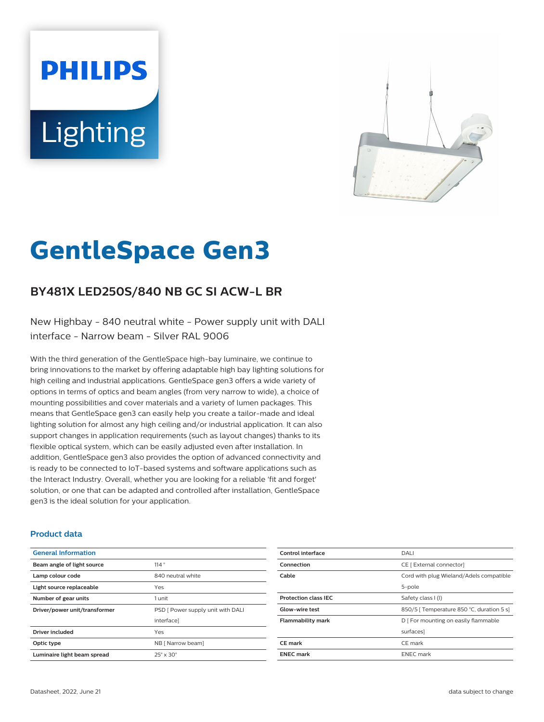# **PHILIPS** Lighting



# **GentleSpace Gen3**

# **BY481X LED250S/840 NB GC SI ACW-L BR**

New Highbay - 840 neutral white - Power supply unit with DALI interface - Narrow beam - Silver RAL 9006

With the third generation of the GentleSpace high-bay luminaire, we continue to bring innovations to the market by offering adaptable high bay lighting solutions for high ceiling and industrial applications. GentleSpace gen3 offers a wide variety of options in terms of optics and beam angles (from very narrow to wide), a choice of mounting possibilities and cover materials and a variety of lumen packages. This means that GentleSpace gen3 can easily help you create a tailor-made and ideal lighting solution for almost any high ceiling and/or industrial application. It can also support changes in application requirements (such as layout changes) thanks to its flexible optical system, which can be easily adjusted even after installation. In addition, GentleSpace gen3 also provides the option of advanced connectivity and is ready to be connected to IoT-based systems and software applications such as the Interact Industry. Overall, whether you are looking for a reliable 'fit and forget' solution, or one that can be adapted and controlled after installation, GentleSpace gen3 is the ideal solution for your application.

#### **Product data**

| <b>General Information</b>    |                                   |
|-------------------------------|-----------------------------------|
| Beam angle of light source    | 114°                              |
| Lamp colour code              | 840 neutral white                 |
| Light source replaceable      | Yes                               |
| Number of gear units          | 1 unit                            |
| Driver/power unit/transformer | PSD [ Power supply unit with DALI |
|                               | interface]                        |
| <b>Driver included</b>        | Yes                               |
| Optic type                    | NB [ Narrow beam]                 |
| Luminaire light beam spread   | $25^\circ \times 30^\circ$        |

| Control interface           | DALI                                      |
|-----------------------------|-------------------------------------------|
| Connection                  | CE [ External connector]                  |
| Cable                       | Cord with plug Wieland/Adels compatible   |
|                             | 5-pole                                    |
| <b>Protection class IEC</b> | Safety class I (I)                        |
| <b>Glow-wire test</b>       | 850/5   Temperature 850 °C, duration 5 s] |
| <b>Flammability mark</b>    | D   For mounting on easily flammable      |
|                             | surfaces]                                 |
| CE mark                     | CE mark                                   |
| <b>ENEC mark</b>            | <b>ENEC</b> mark                          |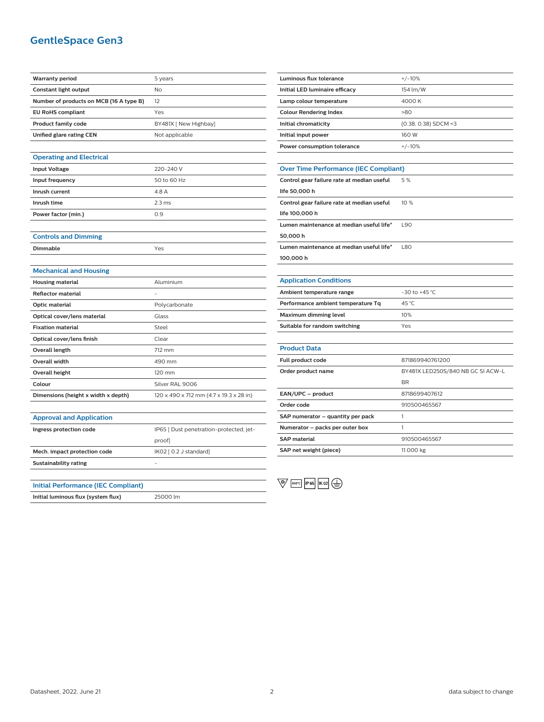## **GentleSpace Gen3**

| <b>Warranty period</b>                     | 5 years                                 |
|--------------------------------------------|-----------------------------------------|
| Constant light output                      | No                                      |
| Number of products on MCB (16 A type B)    | 12                                      |
| <b>EU RoHS compliant</b>                   | Yes                                     |
| Product family code                        | BY481X [ New Highbay]                   |
| Unified glare rating CEN                   | Not applicable                          |
|                                            |                                         |
| <b>Operating and Electrical</b>            |                                         |
| <b>Input Voltage</b>                       | 220-240 V                               |
| Input frequency                            | 50 to 60 Hz                             |
| Inrush current                             | 4.8 A                                   |
| Inrush time                                | 2.3 <sub>ms</sub>                       |
| Power factor (min.)                        | 0.9                                     |
|                                            |                                         |
| <b>Controls and Dimming</b>                |                                         |
| Dimmable                                   | Yes                                     |
|                                            |                                         |
| <b>Mechanical and Housing</b>              |                                         |
| <b>Housing material</b>                    | Aluminium                               |
| <b>Reflector material</b>                  |                                         |
| <b>Optic material</b>                      | Polycarbonate                           |
| Optical cover/lens material                | Glass                                   |
| <b>Fixation material</b>                   | Steel                                   |
| Optical cover/lens finish                  | Clear                                   |
| <b>Overall length</b>                      | 712 mm                                  |
| Overall width                              | 490 mm                                  |
| Overall height                             | 120 mm                                  |
| Colour                                     | Silver RAL 9006                         |
| Dimensions (height x width x depth)        | 120 x 490 x 712 mm (4.7 x 19.3 x 28 in) |
|                                            |                                         |
| <b>Approval and Application</b>            |                                         |
| Ingress protection code                    | IP65 [ Dust penetration-protected, jet- |
|                                            | proof]                                  |
| Mech. impact protection code               | IK02 [ 0.2 J standard]                  |
| <b>Sustainability rating</b>               |                                         |
|                                            |                                         |
| <b>Initial Performance (IEC Compliant)</b> |                                         |
| Initial luminous flux (system flux)        | 25000 lm                                |

| <b>Luminous flux tolerance</b>               | $+/-10%$                          |  |
|----------------------------------------------|-----------------------------------|--|
| Initial LED luminaire efficacy               | 154 lm/W                          |  |
| Lamp colour temperature                      | 4000 K                            |  |
| <b>Colour Rendering Index</b>                | >80                               |  |
| Initial chromaticity                         | $(0.38, 0.38)$ SDCM <3            |  |
| Initial input power                          | 160 W                             |  |
| Power consumption tolerance                  | $+/-10%$                          |  |
|                                              |                                   |  |
| <b>Over Time Performance (IEC Compliant)</b> |                                   |  |
| Control gear failure rate at median useful   | 5%                                |  |
| life 50,000 h                                |                                   |  |
| Control gear failure rate at median useful   | 10%                               |  |
| life 100,000 h                               |                                   |  |
| Lumen maintenance at median useful life*     | <b>L90</b>                        |  |
| 50,000 h                                     |                                   |  |
| Lumen maintenance at median useful life*     | <b>L80</b>                        |  |
| 100,000 h                                    |                                   |  |
|                                              |                                   |  |
| <b>Application Conditions</b>                |                                   |  |
| Ambient temperature range                    | $-30$ to $+45$ °C                 |  |
| Performance ambient temperature Tq           | 45 °C                             |  |
| Maximum dimming level                        | 10%                               |  |
| Suitable for random switching                | Yes                               |  |
|                                              |                                   |  |
| <b>Product Data</b>                          |                                   |  |
| Full product code                            | 871869940761200                   |  |
| Order product name                           | BY481X LED250S/840 NB GC SI ACW-L |  |
|                                              | <b>BR</b>                         |  |
| EAN/UPC - product                            | 8718699407612                     |  |
| Order code                                   | 910500465567                      |  |
| SAP numerator - quantity per pack            | 1                                 |  |

 $\overline{\mathbb{Q}}$   $\overline{\mathbb{R}^{60^{\circ}C}}$   $\overline{\mathbb{R}^{66}}$   $\overline{\mathbb{R}^{02}}$   $\overline{\mathbb{R}^{02}}$ 

**Numerator – packs per outer box** 1

**SAP material** 910500465567 **SAP net weight (piece)** 11.000 kg